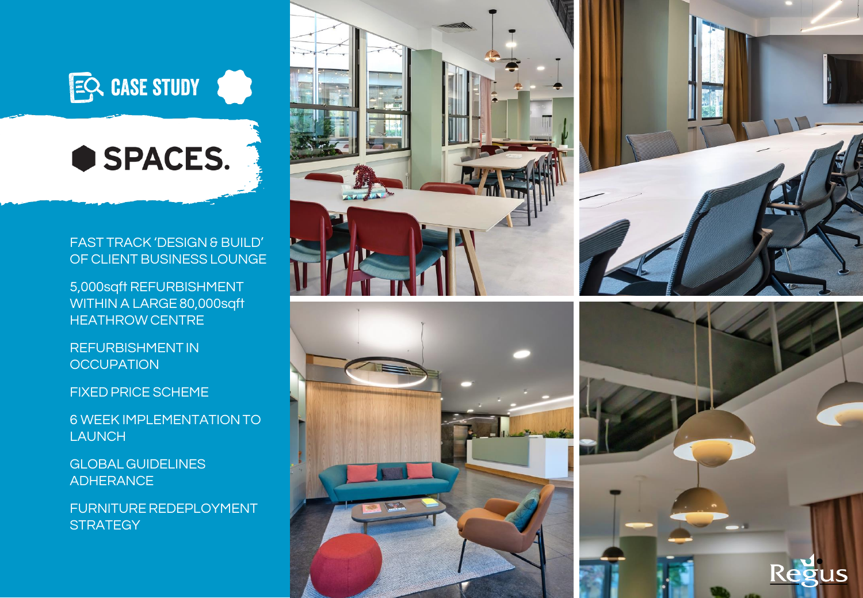



## FAST TRACK 'DESIGN & BUILD' OF CLIENT BUSINESS LOUNGE

5,000sqft REFURBISHMENT WITHIN A LARGE 80,000sqft HEATHROW CENTRE

REFURBISHMENT IN **OCCUPATION** 

FIXED PRICE SCHEME

6 WEEK IMPLEMENTATION TO LAUNCH

GLOBAL GUIDELINES ADHERANCE

FURNITURE REDEPLOYMENT **STRATEGY**